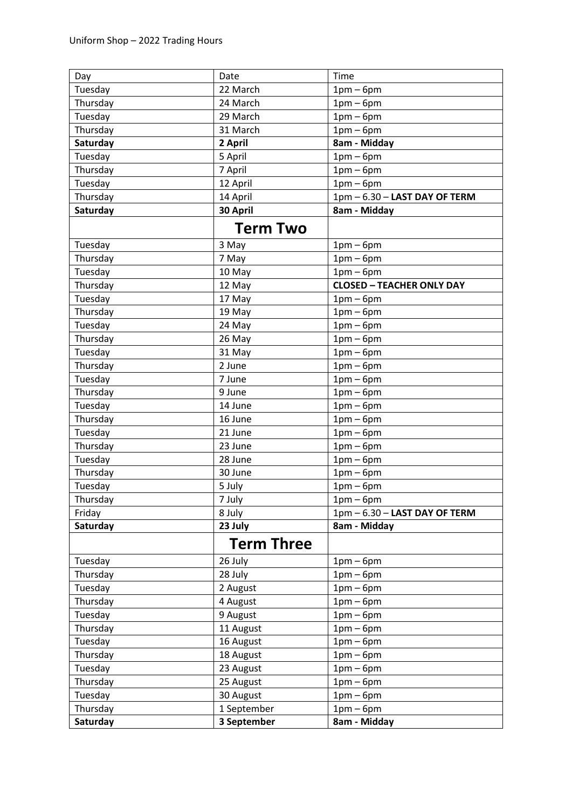| Day      | Date              | Time                             |
|----------|-------------------|----------------------------------|
| Tuesday  | 22 March          | $1pm-6pm$                        |
| Thursday | 24 March          | $1pm-6pm$                        |
| Tuesday  | 29 March          | $1pm-6pm$                        |
| Thursday | 31 March          | $1pm-6pm$                        |
| Saturday | 2 April           | 8am - Midday                     |
| Tuesday  | 5 April           | $1pm-6pm$                        |
| Thursday | 7 April           | $1pm-6pm$                        |
| Tuesday  | 12 April          | $1pm-6pm$                        |
| Thursday | 14 April          | 1pm - 6.30 - LAST DAY OF TERM    |
| Saturday | 30 April          | 8am - Midday                     |
|          | <b>Term Two</b>   |                                  |
| Tuesday  | 3 May             | $1pm-6pm$                        |
| Thursday | 7 May             | $1pm-6pm$                        |
| Tuesday  | 10 May            | $1pm-6pm$                        |
| Thursday | 12 May            | <b>CLOSED - TEACHER ONLY DAY</b> |
| Tuesday  | 17 May            | $1pm-6pm$                        |
| Thursday | 19 May            | $1pm-6pm$                        |
| Tuesday  | 24 May            | $1pm-6pm$                        |
| Thursday | 26 May            | $1pm-6pm$                        |
| Tuesday  | 31 May            | $1pm-6pm$                        |
| Thursday | 2 June            | $1pm-6pm$                        |
| Tuesday  | 7 June            | $1pm-6pm$                        |
| Thursday | 9 June            | $1pm-6pm$                        |
| Tuesday  | 14 June           | $1pm-6pm$                        |
| Thursday | 16 June           | $1pm-6pm$                        |
| Tuesday  | 21 June           | $1pm-6pm$                        |
| Thursday | 23 June           | $1pm-6pm$                        |
| Tuesday  | 28 June           | $1pm-6pm$                        |
| Thursday | 30 June           | $1pm-6pm$                        |
| Tuesday  | 5 July            | $1pm-6pm$                        |
| Thursday | 7 July            | $1pm-6pm$                        |
| Friday   | 8 July            | 1pm - 6.30 - LAST DAY OF TERM    |
| Saturday | 23 July           | 8am - Midday                     |
|          | <b>Term Three</b> |                                  |
| Tuesday  | 26 July           | $1pm-6pm$                        |
| Thursday | 28 July           | $1pm-6pm$                        |
| Tuesday  | 2 August          | $1pm-6pm$                        |
| Thursday | 4 August          | $1pm-6pm$                        |
| Tuesday  | 9 August          | $1pm-6pm$                        |
| Thursday | 11 August         | $1pm-6pm$                        |
| Tuesday  | 16 August         | $1pm-6pm$                        |
| Thursday | 18 August         | $1pm-6pm$                        |
| Tuesday  | 23 August         | $1pm-6pm$                        |
| Thursday | 25 August         | $1pm-6pm$                        |
| Tuesday  | 30 August         | $1pm-6pm$                        |
| Thursday | 1 September       | $1pm-6pm$                        |
| Saturday | 3 September       | 8am - Midday                     |